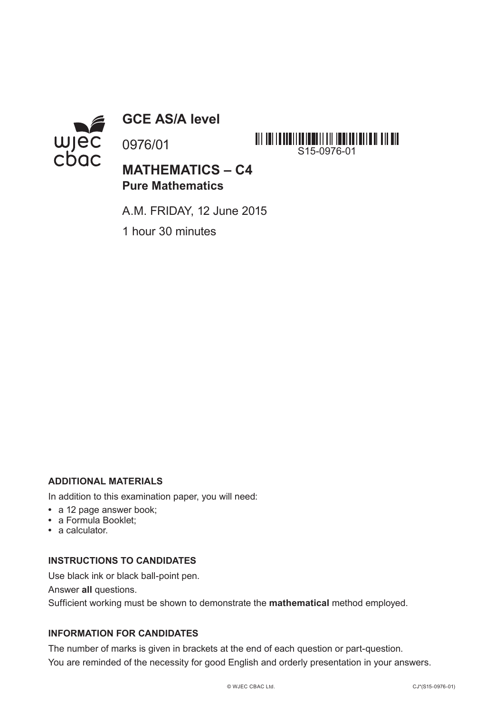

**GCE AS/A level**

0976/01

**MATHEMATICS – C4 Pure Mathematics**

S15-0976-01

A.M. FRIDAY, 12 June 2015

1 hour 30 minutes

## **ADDITIONAL MATERIALS**

In addition to this examination paper, you will need:

- **•** a 12 page answer book;
- **•** a Formula Booklet;
- **•** a calculator.

## **INSTRUCTIONS TO CANDIDATES**

Use black ink or black ball-point pen.

Answer **all** questions.

Sufficient working must be shown to demonstrate the **mathematical** method employed.

## **INFORMATION FOR CANDIDATES**

The number of marks is given in brackets at the end of each question or part-question. You are reminded of the necessity for good English and orderly presentation in your answers.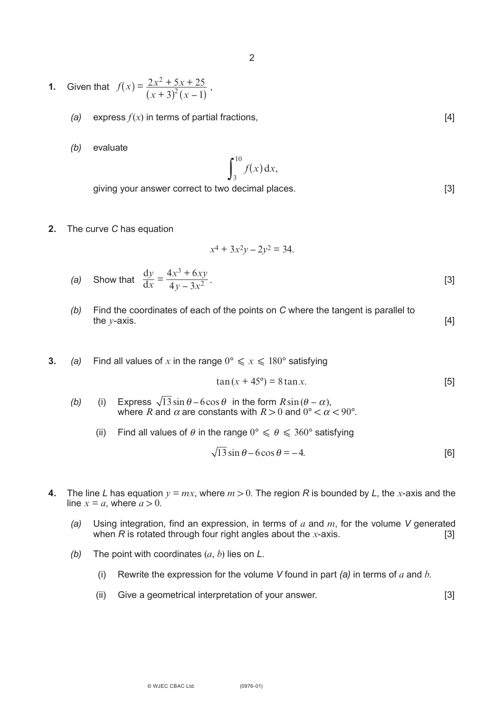- **1.** Given that  $f(x) = \frac{2x^2 + 5x + 25}{(x 3)^2(x 1)}$ ,  $f(x) = \frac{2x^2 + 5x + 25}{(x + 3)^2 (x - 1)}$  $2x^2 + 5x + 25$  $3^{2}(x-1)$ 2  $^{2}(x -$ 
	- *(a)* express  $f(x)$  in terms of partial fractions,  $[4]$
	- *(b)* evaluate

$$
\int_3^{10} f(x) \, \mathrm{d}x,
$$

giving your answer correct to two decimal places. [3]

**2.** The curve *C* has equation

$$
x^4 + 3x^2y - 2y^2 = 34.
$$

(a) Show that 
$$
\frac{dy}{dx} = \frac{4x^3 + 6xy}{4y - 3x^2}
$$
. [3]

- *(b)* Find the coordinates of each of the points on *C* where the tangent is parallel to the *y*-axis.  $[4]$
- **3.** *(a)* Find all values of x in the range  $0^\circ \le x \le 180^\circ$  satisfying

$$
tan(x + 45^{\circ}) = 8 \tan x.
$$
 [5]

- (b) (i) Express  $\sqrt{13} \sin \theta 6 \cos \theta$  in the form  $R \sin(\theta \alpha)$ , where *R* and  $\alpha$  are constants with  $R > 0$  and  $0^{\circ} < \alpha < 90^{\circ}$ .
	- (ii) Find all values of  $\theta$  in the range  $0^{\circ} \le \theta \le 360^{\circ}$  satisfying

$$
\sqrt{13}\sin\theta - 6\cos\theta = -4.
$$
 [6]

- **4.** The line *L* has equation  $y = mx$ , where  $m > 0$ . The region *R* is bounded by *L*, the *x*-axis and the line  $x = a$ , where  $a > 0$ .
	- *(a)* Using integration, find an expression, in terms of *a* and *m*, for the volume *V* generated when  $R$  is rotated through four right angles about the *x*-axis.
	- *(b)* The point with coordinates (*a*, *b*) lies on *L*.
		- (i) Rewrite the expression for the volume *V* found in part *(a)* in terms of *a* and *b*.
		- (ii) Give a geometrical interpretation of your answer. [3]

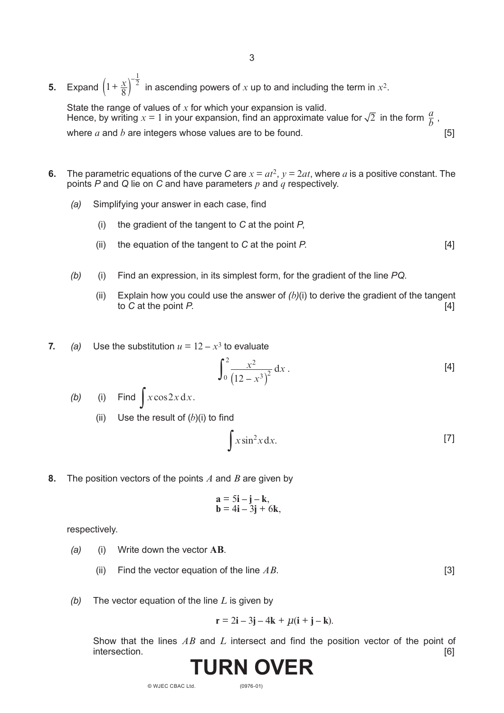**5.** Expand  $\left(1+\frac{x}{8}\right)^2$  in ascending powers of *x* up to and including the term in  $x^2$ .  $\left(1+\frac{x}{8}\right)^{-\frac{1}{2}}$ 

State the range of values of *x* for which your expansion is valid. Hence, by writing  $x = 1$  in your expansion, find an approximate value for  $\sqrt{2}$  in the form  $\frac{a}{b}$ , where *a* and *b* are integers whose values are to be found. [5]

- **6.** The parametric equations of the curve *C* are  $x = at^2$ ,  $y = 2at$ , where *a* is a positive constant. The points *P* and *Q* lie on *C* and have parameters *p* and *q* respectively.
	- *(a)* Simplifying your answer in each case, find
		- (i) the gradient of the tangent to *C* at the point *P*,
		- (ii) the equation of the tangent to *C* at the point *P*. [4]
	- *(b)* (i) Find an expression, in its simplest form, for the gradient of the line *PQ*.
		- (ii) Explain how you could use the answer of  $(b)(i)$  to derive the gradient of the tangent to *C* at the point *P*. [4]
- **7.** *(a)* Use the substitution  $u = 12 x^3$  to evaluate

$$
\int_0^2 \frac{x^2}{(12 - x^3)^2} dx
$$
 [4]

- *(b)* (i) Find  $\int x \cos 2x \, dx$ .
	- (ii) Use the result of  $(b)(i)$  to find

$$
\int x \sin^2 x \, dx. \tag{7}
$$

**8.** The position vectors of the points *A* and *B* are given by

$$
\mathbf{a} = 5\mathbf{i} - \mathbf{j} - \mathbf{k}, \mathbf{b} = 4\mathbf{i} - 3\mathbf{j} + 6\mathbf{k},
$$

respectively.

- *(a)* (i) Write down the vector **AB**.
	- (ii) Find the vector equation of the line  $AB$ . [3]
- *(b)* The vector equation of the line *L* is given by

$$
\mathbf{r} = 2\mathbf{i} - 3\mathbf{j} - 4\mathbf{k} + \mu(\mathbf{i} + \mathbf{j} - \mathbf{k}).
$$

Show that the lines *AB* and *L* intersect and find the position vector of the point of intersection. intersection.



© WJEC CBAC Ltd.

(0976-01)